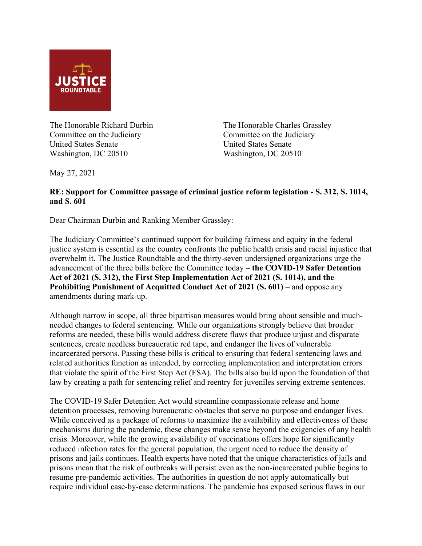

Committee on the Judiciary Committee on the Judiciary United States Senate United States Senate Washington, DC 20510 Washington, DC 20510

The Honorable Richard Durbin The Honorable Charles Grassley

May 27, 2021

## **RE: Support for Committee passage of criminal justice reform legislation - S. 312, S. 1014, and S. 601**

Dear Chairman Durbin and Ranking Member Grassley:

The Judiciary Committee's continued support for building fairness and equity in the federal justice system is essential as the country confronts the public health crisis and racial injustice that overwhelm it. The Justice Roundtable and the thirty-seven undersigned organizations urge the advancement of the three bills before the Committee today – **the COVID-19 Safer Detention Act of 2021 (S. 312), the First Step Implementation Act of 2021 (S. 1014), and the Prohibiting Punishment of Acquitted Conduct Act of 2021 (S. 601)** – and oppose any amendments during mark-up.

Although narrow in scope, all three bipartisan measures would bring about sensible and muchneeded changes to federal sentencing. While our organizations strongly believe that broader reforms are needed, these bills would address discrete flaws that produce unjust and disparate sentences, create needless bureaucratic red tape, and endanger the lives of vulnerable incarcerated persons. Passing these bills is critical to ensuring that federal sentencing laws and related authorities function as intended, by correcting implementation and interpretation errors that violate the spirit of the First Step Act (FSA). The bills also build upon the foundation of that law by creating a path for sentencing relief and reentry for juveniles serving extreme sentences.

The COVID-19 Safer Detention Act would streamline compassionate release and home detention processes, removing bureaucratic obstacles that serve no purpose and endanger lives. While conceived as a package of reforms to maximize the availability and effectiveness of these mechanisms during the pandemic, these changes make sense beyond the exigencies of any health crisis. Moreover, while the growing availability of vaccinations offers hope for significantly reduced infection rates for the general population, the urgent need to reduce the density of prisons and jails continues. Health experts have noted that the unique characteristics of jails and prisons mean that the risk of outbreaks will persist even as the non-incarcerated public begins to resume pre-pandemic activities. The authorities in question do not apply automatically but require individual case-by-case determinations. The pandemic has exposed serious flaws in our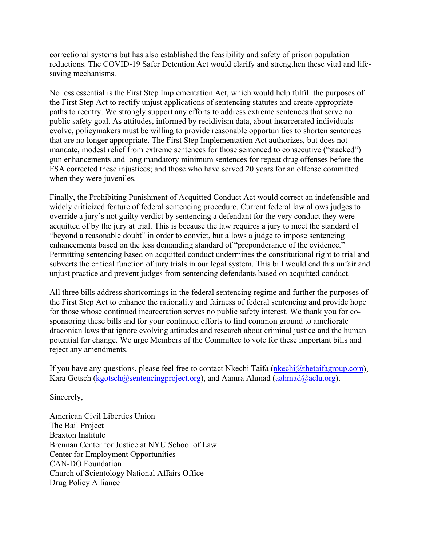correctional systems but has also established the feasibility and safety of prison population reductions. The COVID-19 Safer Detention Act would clarify and strengthen these vital and lifesaving mechanisms.

No less essential is the First Step Implementation Act, which would help fulfill the purposes of the First Step Act to rectify unjust applications of sentencing statutes and create appropriate paths to reentry. We strongly support any efforts to address extreme sentences that serve no public safety goal. As attitudes, informed by recidivism data, about incarcerated individuals evolve, policymakers must be willing to provide reasonable opportunities to shorten sentences that are no longer appropriate. The First Step Implementation Act authorizes, but does not mandate, modest relief from extreme sentences for those sentenced to consecutive ("stacked") gun enhancements and long mandatory minimum sentences for repeat drug offenses before the FSA corrected these injustices; and those who have served 20 years for an offense committed when they were juveniles.

Finally, the Prohibiting Punishment of Acquitted Conduct Act would correct an indefensible and widely criticized feature of federal sentencing procedure. Current federal law allows judges to override a jury's not guilty verdict by sentencing a defendant for the very conduct they were acquitted of by the jury at trial. This is because the law requires a jury to meet the standard of "beyond a reasonable doubt" in order to convict, but allows a judge to impose sentencing enhancements based on the less demanding standard of "preponderance of the evidence." Permitting sentencing based on acquitted conduct undermines the constitutional right to trial and subverts the critical function of jury trials in our legal system. This bill would end this unfair and unjust practice and prevent judges from sentencing defendants based on acquitted conduct.

All three bills address shortcomings in the federal sentencing regime and further the purposes of the First Step Act to enhance the rationality and fairness of federal sentencing and provide hope for those whose continued incarceration serves no public safety interest. We thank you for cosponsoring these bills and for your continued efforts to find common ground to ameliorate draconian laws that ignore evolving attitudes and research about criminal justice and the human potential for change. We urge Members of the Committee to vote for these important bills and reject any amendments.

If you have any questions, please feel free to contact Nkechi Taifa ( $n$ kechi $\omega$ thetaifagroup.com), Kara Gotsch [\(kgotsch@sentencingproject.org\)](mailto:kgotsch@sentencingproject.org), and Aamra Ahmad [\(aahmad@aclu.org\)](mailto:aahmad@aclu.org).

Sincerely,

American Civil Liberties Union The Bail Project Braxton Institute Brennan Center for Justice at NYU School of Law Center for Employment Opportunities CAN-DO Foundation Church of Scientology National Affairs Office Drug Policy Alliance